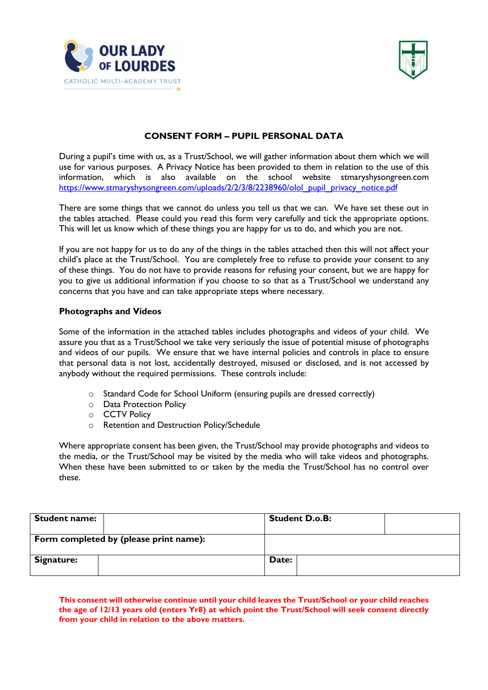



## **CONSENT FORM – PUPIL PERSONAL DATA**

During a pupil's time with us, as a Trust/School, we will gather information about them which we will use for various purposes. A Privacy Notice has been provided to them in relation to the use of this information, which is also available on the school website stmaryshysongreen.com [https://www.stmaryshysongreen.com/uploads/2/2/3/8/2238960/olol\\_pupil\\_privacy\\_notice.pdf](https://www.stmaryshysongreen.com/uploads/2/2/3/8/2238960/olol_pupil_privacy_notice.pdf)

There are some things that we cannot do unless you tell us that we can. We have set these out in the tables attached. Please could you read this form very carefully and tick the appropriate options. This will let us know which of these things you are happy for us to do, and which you are not.

If you are not happy for us to do any of the things in the tables attached then this will not affect your child's place at the Trust/School. You are completely free to refuse to provide your consent to any of these things. You do not have to provide reasons for refusing your consent, but we are happy for you to give us additional information if you choose to so that as a Trust/School we understand any concerns that you have and can take appropriate steps where necessary.

## **Photographs and Videos**

Some of the information in the attached tables includes photographs and videos of your child. We assure you that as a Trust/School we take very seriously the issue of potential misuse of photographs and videos of our pupils. We ensure that we have internal policies and controls in place to ensure that personal data is not lost, accidentally destroyed, misused or disclosed, and is not accessed by anybody without the required permissions. These controls include:

- o Standard Code for School Uniform (ensuring pupils are dressed correctly)
- o Data Protection Policy
- o CCTV Policy
- o Retention and Destruction Policy/Schedule

Where appropriate consent has been given, the Trust/School may provide photographs and videos to the media, or the Trust/School may be visited by the media who will take videos and photographs. When these have been submitted to or taken by the media the Trust/School has no control over these.

| <b>Student name:</b> |                                        | <b>Student D.o.B:</b> |  |
|----------------------|----------------------------------------|-----------------------|--|
|                      | Form completed by (please print name): |                       |  |
| Signature:           |                                        | Date:                 |  |

**This consent will otherwise continue until your child leaves the Trust/School or your child reaches the age of 12/13 years old (enters Yr8) at which point the Trust/School will seek consent directly from your child in relation to the above matters.**